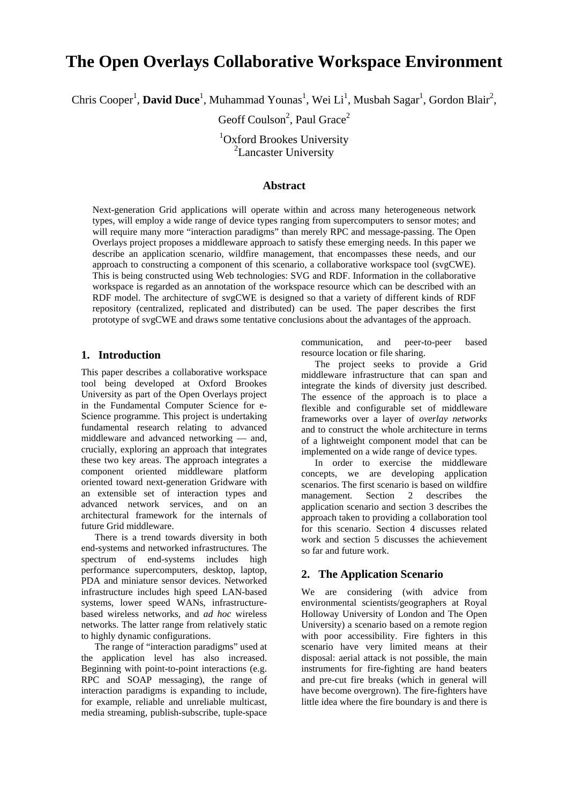# **The Open Overlays Collaborative Workspace Environment**

Chris Cooper<sup>1</sup>, **David Duce**<sup>1</sup>, Muhammad Younas<sup>1</sup>, Wei Li<sup>1</sup>, Musbah Sagar<sup>1</sup>, Gordon Blair<sup>2</sup>,

Geoff Coulson<sup>2</sup>, Paul Grace<sup>2</sup>

<sup>1</sup>Oxford Brookes University <sup>2</sup>Lancaster University

#### **Abstract**

Next-generation Grid applications will operate within and across many heterogeneous network types, will employ a wide range of device types ranging from supercomputers to sensor motes; and will require many more "interaction paradigms" than merely RPC and message-passing. The Open Overlays project proposes a middleware approach to satisfy these emerging needs. In this paper we describe an application scenario, wildfire management, that encompasses these needs, and our approach to constructing a component of this scenario, a collaborative workspace tool (svgCWE). This is being constructed using Web technologies: SVG and RDF. Information in the collaborative workspace is regarded as an annotation of the workspace resource which can be described with an RDF model. The architecture of svgCWE is designed so that a variety of different kinds of RDF repository (centralized, replicated and distributed) can be used. The paper describes the first prototype of svgCWE and draws some tentative conclusions about the advantages of the approach.

## **1. Introduction**

This paper describes a collaborative workspace tool being developed at Oxford Brookes University as part of the Open Overlays project in the Fundamental Computer Science for e-Science programme. This project is undertaking fundamental research relating to advanced middleware and advanced networking — and, crucially, exploring an approach that integrates these two key areas. The approach integrates a component oriented middleware platform oriented toward next-generation Gridware with an extensible set of interaction types and advanced network services, and on an architectural framework for the internals of future Grid middleware.

There is a trend towards diversity in both end-systems and networked infrastructures. The spectrum of end-systems includes high performance supercomputers, desktop, laptop, PDA and miniature sensor devices. Networked infrastructure includes high speed LAN-based systems, lower speed WANs, infrastructurebased wireless networks, and *ad hoc* wireless networks. The latter range from relatively static to highly dynamic configurations.

The range of "interaction paradigms" used at the application level has also increased. Beginning with point-to-point interactions (e.g. RPC and SOAP messaging), the range of interaction paradigms is expanding to include, for example, reliable and unreliable multicast, media streaming, publish-subscribe, tuple-space

communication, and peer-to-peer based resource location or file sharing.

The project seeks to provide a Grid middleware infrastructure that can span and integrate the kinds of diversity just described. The essence of the approach is to place a flexible and configurable set of middleware frameworks over a layer of *overlay networks* and to construct the whole architecture in terms of a lightweight component model that can be implemented on a wide range of device types.

In order to exercise the middleware concepts, we are developing application scenarios. The first scenario is based on wildfire management. Section 2 describes the application scenario and section 3 describes the approach taken to providing a collaboration tool for this scenario. Section 4 discusses related work and section 5 discusses the achievement so far and future work.

## **2. The Application Scenario**

We are considering (with advice from environmental scientists/geographers at Royal Holloway University of London and The Open University) a scenario based on a remote region with poor accessibility. Fire fighters in this scenario have very limited means at their disposal: aerial attack is not possible, the main instruments for fire-fighting are hand beaters and pre-cut fire breaks (which in general will have become overgrown). The fire-fighters have little idea where the fire boundary is and there is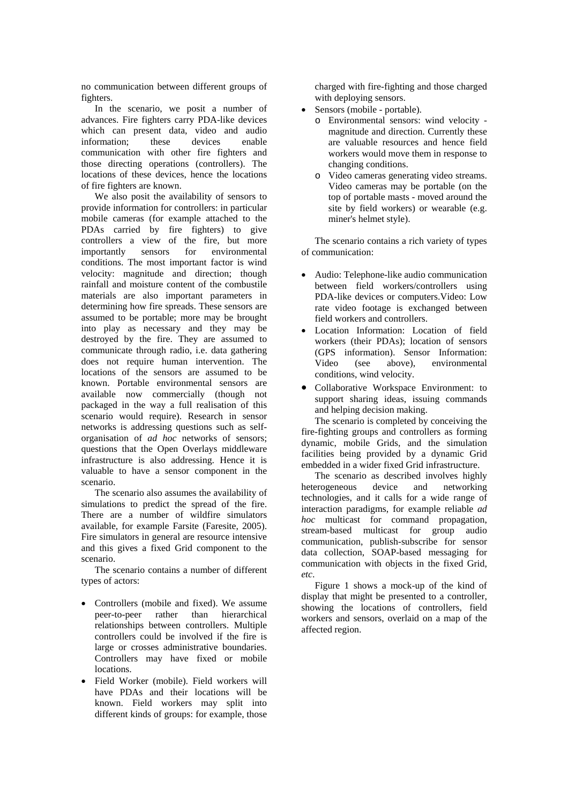no communication between different groups of fighters.

In the scenario, we posit a number of advances. Fire fighters carry PDA-like devices which can present data, video and audio information; these devices enable communication with other fire fighters and those directing operations (controllers). The locations of these devices, hence the locations of fire fighters are known.

We also posit the availability of sensors to provide information for controllers: in particular mobile cameras (for example attached to the PDAs carried by fire fighters) to give controllers a view of the fire, but more importantly sensors for environmental conditions. The most important factor is wind velocity: magnitude and direction; though rainfall and moisture content of the combustile materials are also important parameters in determining how fire spreads. These sensors are assumed to be portable; more may be brought into play as necessary and they may be destroyed by the fire. They are assumed to communicate through radio, i.e. data gathering does not require human intervention. The locations of the sensors are assumed to be known. Portable environmental sensors are available now commercially (though not packaged in the way a full realisation of this scenario would require). Research in sensor networks is addressing questions such as selforganisation of *ad hoc* networks of sensors; questions that the Open Overlays middleware infrastructure is also addressing. Hence it is valuable to have a sensor component in the scenario.

The scenario also assumes the availability of simulations to predict the spread of the fire. There are a number of wildfire simulators available, for example Farsite (Faresite, 2005). Fire simulators in general are resource intensive and this gives a fixed Grid component to the scenario.

The scenario contains a number of different types of actors:

- Controllers (mobile and fixed). We assume<br>peer-to-peer rather than hierarchical peer-to-peer rather than relationships between controllers. Multiple controllers could be involved if the fire is large or crosses administrative boundaries. Controllers may have fixed or mobile locations.
- Field Worker (mobile). Field workers will have PDAs and their locations will be known. Field workers may split into different kinds of groups: for example, those

charged with fire-fighting and those charged with deploying sensors.

- Sensors (mobile portable).
	- o Environmental sensors: wind velocity magnitude and direction. Currently these are valuable resources and hence field workers would move them in response to changing conditions.
	- o Video cameras generating video streams. Video cameras may be portable (on the top of portable masts - moved around the site by field workers) or wearable (e.g. miner's helmet style).

The scenario contains a rich variety of types of communication:

- Audio: Telephone-like audio communication between field workers/controllers using PDA-like devices or computers.Video: Low rate video footage is exchanged between field workers and controllers.
- Location Information: Location of field workers (their PDAs); location of sensors (GPS information). Sensor Information: Video (see above), environmental conditions, wind velocity.
- Collaborative Workspace Environment: to support sharing ideas, issuing commands and helping decision making.

The scenario is completed by conceiving the fire-fighting groups and controllers as forming dynamic, mobile Grids, and the simulation facilities being provided by a dynamic Grid embedded in a wider fixed Grid infrastructure.

The scenario as described involves highly heterogeneous device and networking technologies, and it calls for a wide range of interaction paradigms, for example reliable *ad hoc* multicast for command propagation, stream-based multicast for group audio communication, publish-subscribe for sensor data collection, SOAP-based messaging for communication with objects in the fixed Grid, *etc*.

Figure 1 shows a mock-up of the kind of display that might be presented to a controller, showing the locations of controllers, field workers and sensors, overlaid on a map of the affected region.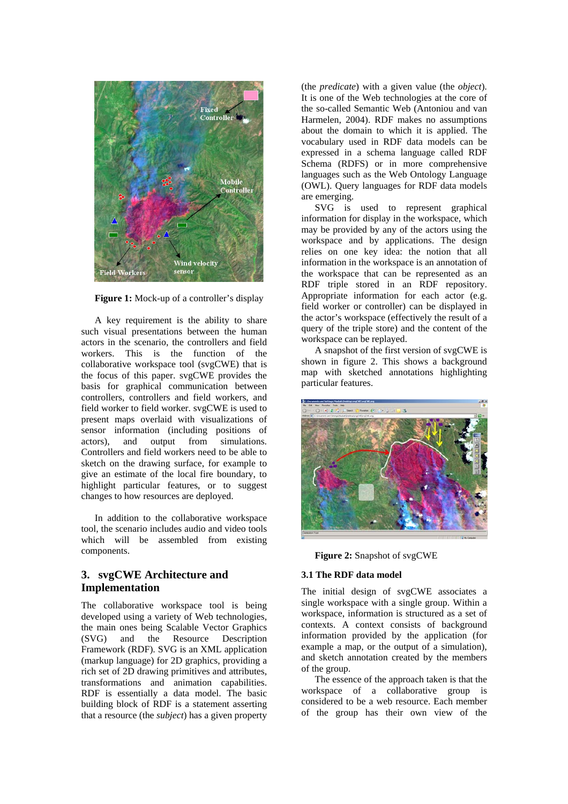

**Figure 1:** Mock-up of a controller's display

A key requirement is the ability to share such visual presentations between the human actors in the scenario, the controllers and field workers. This is the function of the collaborative workspace tool (svgCWE) that is the focus of this paper. svgCWE provides the basis for graphical communication between controllers, controllers and field workers, and field worker to field worker. svgCWE is used to present maps overlaid with visualizations of sensor information (including positions of actors), and output from simulations. Controllers and field workers need to be able to sketch on the drawing surface, for example to give an estimate of the local fire boundary, to highlight particular features, or to suggest changes to how resources are deployed.

In addition to the collaborative workspace tool, the scenario includes audio and video tools which will be assembled from existing components.

# **3. svgCWE Architecture and Implementation**

The collaborative workspace tool is being developed using a variety of Web technologies, the main ones being Scalable Vector Graphics (SVG) and the Resource Description Framework (RDF). SVG is an XML application (markup language) for 2D graphics, providing a rich set of 2D drawing primitives and attributes, transformations and animation capabilities. RDF is essentially a data model. The basic building block of RDF is a statement asserting that a resource (the *subject*) has a given property (the *predicate*) with a given value (the *object*). It is one of the Web technologies at the core of the so-called Semantic Web (Antoniou and van Harmelen, 2004). RDF makes no assumptions about the domain to which it is applied. The vocabulary used in RDF data models can be expressed in a schema language called RDF Schema (RDFS) or in more comprehensive languages such as the Web Ontology Language (OWL). Query languages for RDF data models are emerging.

SVG is used to represent graphical information for display in the workspace, which may be provided by any of the actors using the workspace and by applications. The design relies on one key idea: the notion that all information in the workspace is an annotation of the workspace that can be represented as an RDF triple stored in an RDF repository. Appropriate information for each actor (e.g. field worker or controller) can be displayed in the actor's workspace (effectively the result of a query of the triple store) and the content of the workspace can be replayed.

A snapshot of the first version of svgCWE is shown in figure 2. This shows a background map with sketched annotations highlighting particular features.



**Figure 2:** Snapshot of svgCWE

# **3.1 The RDF data model**

The initial design of svgCWE associates a single workspace with a single group. Within a workspace, information is structured as a set of contexts. A context consists of background information provided by the application (for example a map, or the output of a simulation), and sketch annotation created by the members of the group.

The essence of the approach taken is that the workspace of a collaborative group is considered to be a web resource. Each member of the group has their own view of the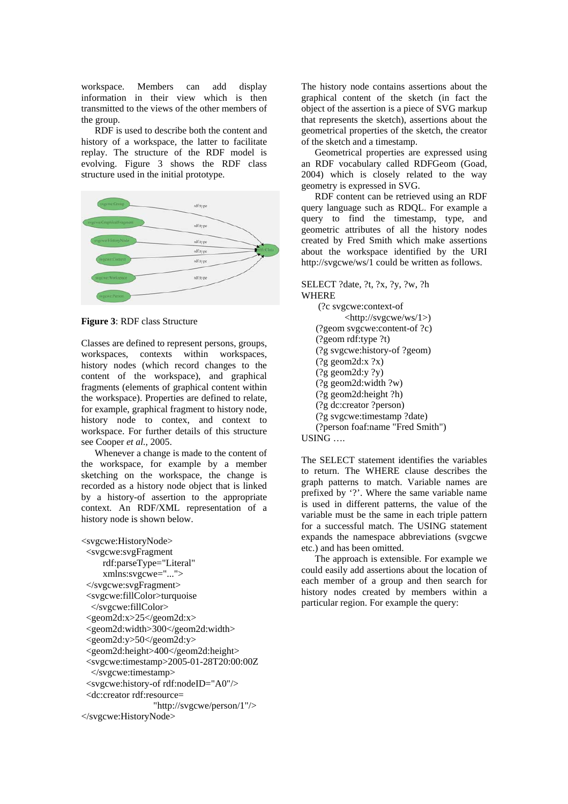workspace. Members can add display information in their view which is then transmitted to the views of the other members of the group.

RDF is used to describe both the content and history of a workspace, the latter to facilitate replay. The structure of the RDF model is evolving. Figure 3 shows the RDF class structure used in the initial prototype.



**Figure 3**: RDF class Structure

Classes are defined to represent persons, groups, workspaces, contexts within workspaces, history nodes (which record changes to the content of the workspace), and graphical fragments (elements of graphical content within the workspace). Properties are defined to relate, for example, graphical fragment to history node, history node to contex, and context to workspace. For further details of this structure see Cooper *et al.*, 2005.

Whenever a change is made to the content of the workspace, for example by a member sketching on the workspace, the change is recorded as a history node object that is linked by a history-of assertion to the appropriate context. An RDF/XML representation of a history node is shown below.

<svgcwe:HistoryNode> <svgcwe:svgFragment rdf:parseType="Literal" xmlns:svgcwe="..."> </svgcwe:svgFragment> <svgcwe:fillColor>turquoise </svgcwe:fillColor>  $\leq$ geom2d:x>25 $\leq$ /geom2d:x> <geom2d:width>300</geom2d:width> <geom2d:y>50</geom2d:y> <geom2d:height>400</geom2d:height> <svgcwe:timestamp>2005-01-28T20:00:00Z </svgcwe:timestamp> <svgcwe:history-of rdf:nodeID="A0"/> <dc:creator rdf:resource= "http://svgcwe/person/1"/> </svgcwe:HistoryNode>

The history node contains assertions about the graphical content of the sketch (in fact the object of the assertion is a piece of SVG markup that represents the sketch), assertions about the geometrical properties of the sketch, the creator of the sketch and a timestamp.

Geometrical properties are expressed using an RDF vocabulary called RDFGeom (Goad, 2004) which is closely related to the way geometry is expressed in SVG.

RDF content can be retrieved using an RDF query language such as RDQL. For example a query to find the timestamp, type, and geometric attributes of all the history nodes created by Fred Smith which make assertions about the workspace identified by the URI http://svgcwe/ws/1 could be written as follows.

SELECT ?date, ?t, ?x, ?y, ?w, ?h WHERE

 (?c svgcwe:context-of <http://svgcwe/ws/1>) (?geom svgcwe:content-of ?c) (?geom rdf:type ?t) (?g svgcwe:history-of ?geom)  $($ ?g geom2d:x ?x)  $($ ?g geom $2d$ :v ?v) (?g geom2d:width ?w) (?g geom2d:height ?h) (?g dc:creator ?person) (?g svgcwe:timestamp ?date) (?person foaf:name "Fred Smith")

USING ….

The SELECT statement identifies the variables to return. The WHERE clause describes the graph patterns to match. Variable names are prefixed by '?'. Where the same variable name is used in different patterns, the value of the variable must be the same in each triple pattern for a successful match. The USING statement expands the namespace abbreviations (svgcwe etc.) and has been omitted.

The approach is extensible. For example we could easily add assertions about the location of each member of a group and then search for history nodes created by members within a particular region. For example the query: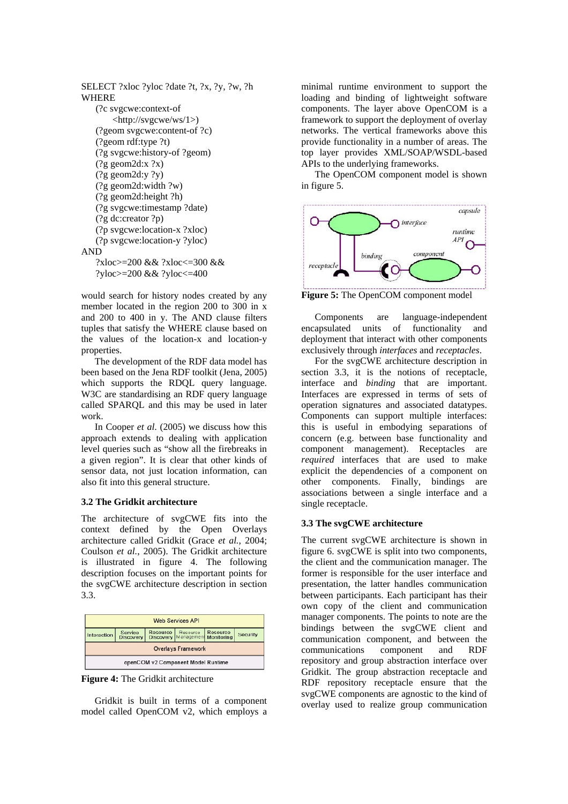```
SELECT ?xloc ?yloc ?date ?t, ?x, ?y, ?w, ?h 
WHERE 
    (?c svgcwe:context-of 
        <http://svgcwe/ws/1>) 
    (?geom svgcwe:content-of ?c) 
    (?geom rdf:type ?t) 
    (?g svgcwe:history-of ?geom) 
   (?g geom2d:x ?x)
   (?g geom2d:y ?y)
    (?g geom2d:width ?w) 
    (?g geom2d:height ?h) 
    (?g svgcwe:timestamp ?date) 
    (?g dc:creator ?p) 
    (?p svgcwe:location-x ?xloc) 
    (?p svgcwe:location-y ?yloc) 
AND 
     ?xloc>=200 && ?xloc<=300 && 
   ?yloc>=200 && ?yloc<=400
```
would search for history nodes created by any member located in the region 200 to 300 in x and 200 to 400 in y. The AND clause filters tuples that satisfy the WHERE clause based on the values of the location-x and location-y properties.

The development of the RDF data model has been based on the Jena RDF toolkit (Jena, 2005) which supports the RDOL query language. W<sub>3</sub>C are standardising an RDF query language called SPARQL and this may be used in later work.

In Cooper *et al*. (2005) we discuss how this approach extends to dealing with application level queries such as "show all the firebreaks in a given region". It is clear that other kinds of sensor data, not just location information, can also fit into this general structure.

#### **3.2 The Gridkit architecture**

The architecture of svgCWE fits into the context defined by the Open Overlays architecture called Gridkit (Grace *et al.*, 2004; Coulson *et al.*, 2005). The Gridkit architecture is illustrated in figure 4. The following description focuses on the important points for the svgCWE architecture description in section 3.3.



**Figure 4:** The Gridkit architecture

Gridkit is built in terms of a component model called OpenCOM v2, which employs a minimal runtime environment to support the loading and binding of lightweight software components. The layer above OpenCOM is a framework to support the deployment of overlay networks. The vertical frameworks above this provide functionality in a number of areas. The top layer provides XML/SOAP/WSDL-based APIs to the underlying frameworks.

The OpenCOM component model is shown in figure 5.



**Figure 5:** The OpenCOM component model

Components are language-independent encapsulated units of functionality and deployment that interact with other components exclusively through *interfaces* and *receptacles*.

For the svgCWE architecture description in section 3.3, it is the notions of receptacle, interface and *binding* that are important. Interfaces are expressed in terms of sets of operation signatures and associated datatypes. Components can support multiple interfaces: this is useful in embodying separations of concern (e.g. between base functionality and component management). Receptacles are *required* interfaces that are used to make explicit the dependencies of a component on other components. Finally, bindings are associations between a single interface and a single receptacle.

#### **3.3 The svgCWE architecture**

The current svgCWE architecture is shown in figure 6. svgCWE is split into two components, the client and the communication manager. The former is responsible for the user interface and presentation, the latter handles communication between participants. Each participant has their own copy of the client and communication manager components. The points to note are the bindings between the svgCWE client and communication component, and between the communications component and RDF repository and group abstraction interface over Gridkit. The group abstraction receptacle and RDF repository receptacle ensure that the svgCWE components are agnostic to the kind of overlay used to realize group communication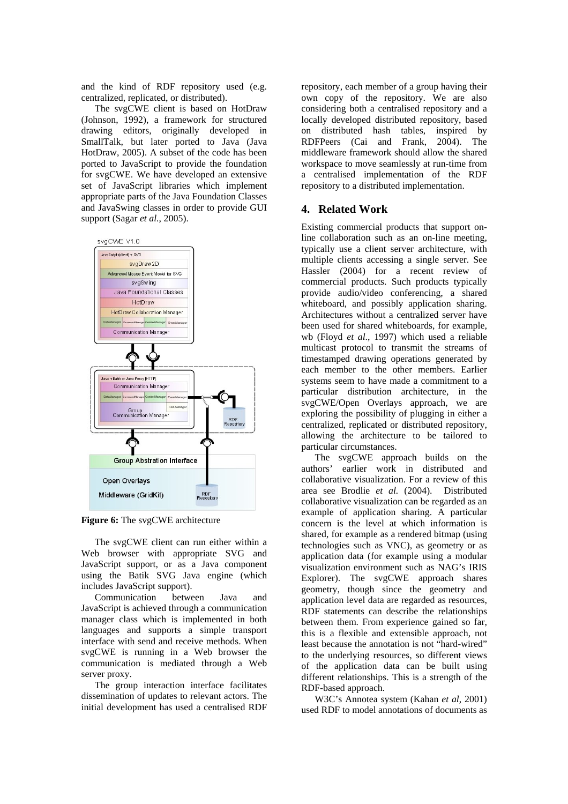and the kind of RDF repository used (e.g. centralized, replicated, or distributed).

The svgCWE client is based on HotDraw (Johnson, 1992), a framework for structured drawing editors, originally developed in SmallTalk, but later ported to Java (Java HotDraw, 2005). A subset of the code has been ported to JavaScript to provide the foundation for svgCWE. We have developed an extensive set of JavaScript libraries which implement appropriate parts of the Java Foundation Classes and JavaSwing classes in order to provide GUI support (Sagar *et al.*, 2005).



**Figure 6:** The svgCWE architecture

The svgCWE client can run either within a Web browser with appropriate SVG and JavaScript support, or as a Java component using the Batik SVG Java engine (which includes JavaScript support).

Communication between Java and JavaScript is achieved through a communication manager class which is implemented in both languages and supports a simple transport interface with send and receive methods. When svgCWE is running in a Web browser the communication is mediated through a Web server proxy.

The group interaction interface facilitates dissemination of updates to relevant actors. The initial development has used a centralised RDF

repository, each member of a group having their own copy of the repository. We are also considering both a centralised repository and a locally developed distributed repository, based on distributed hash tables, inspired by RDFPeers (Cai and Frank, 2004). The middleware framework should allow the shared workspace to move seamlessly at run-time from a centralised implementation of the RDF repository to a distributed implementation.

# **4. Related Work**

Existing commercial products that support online collaboration such as an on-line meeting, typically use a client server architecture, with multiple clients accessing a single server. See Hassler (2004) for a recent review of commercial products. Such products typically provide audio/video conferencing, a shared whiteboard, and possibly application sharing. Architectures without a centralized server have been used for shared whiteboards, for example, wb (Floyd *et al*., 1997) which used a reliable multicast protocol to transmit the streams of timestamped drawing operations generated by each member to the other members. Earlier systems seem to have made a commitment to a particular distribution architecture, in the svgCWE/Open Overlays approach, we are exploring the possibility of plugging in either a centralized, replicated or distributed repository, allowing the architecture to be tailored to particular circumstances.

The svgCWE approach builds on the authors' earlier work in distributed and collaborative visualization. For a review of this area see Brodlie *et al.* (2004). Distributed collaborative visualization can be regarded as an example of application sharing. A particular concern is the level at which information is shared, for example as a rendered bitmap (using technologies such as VNC), as geometry or as application data (for example using a modular visualization environment such as NAG's IRIS Explorer). The svgCWE approach shares geometry, though since the geometry and application level data are regarded as resources, RDF statements can describe the relationships between them. From experience gained so far, this is a flexible and extensible approach, not least because the annotation is not "hard-wired" to the underlying resources, so different views of the application data can be built using different relationships. This is a strength of the RDF-based approach.

W3C's Annotea system (Kahan *et al*, 2001) used RDF to model annotations of documents as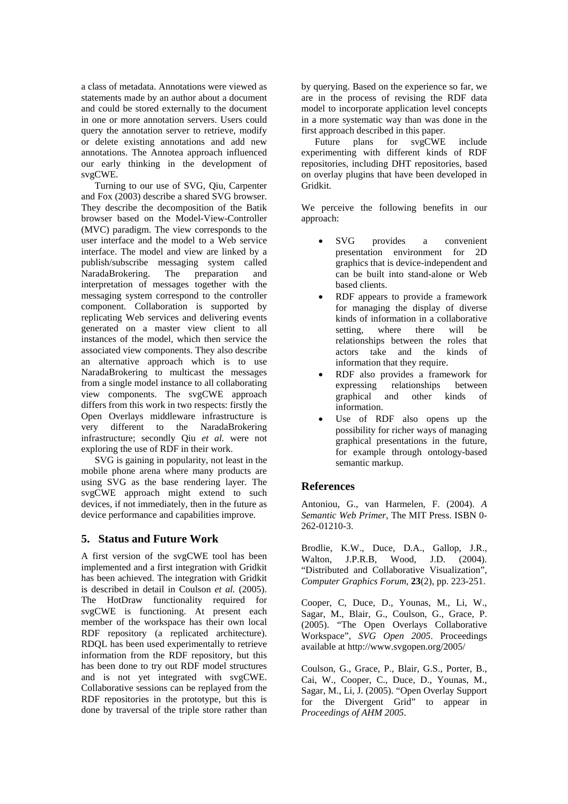a class of metadata. Annotations were viewed as statements made by an author about a document and could be stored externally to the document in one or more annotation servers. Users could query the annotation server to retrieve, modify or delete existing annotations and add new annotations. The Annotea approach influenced our early thinking in the development of svgCWE.

Turning to our use of SVG, Qiu, Carpenter and Fox (2003) describe a shared SVG browser. They describe the decomposition of the Batik browser based on the Model-View-Controller (MVC) paradigm. The view corresponds to the user interface and the model to a Web service interface. The model and view are linked by a publish/subscribe messaging system called NaradaBrokering. The preparation and interpretation of messages together with the messaging system correspond to the controller component. Collaboration is supported by replicating Web services and delivering events generated on a master view client to all instances of the model, which then service the associated view components. They also describe an alternative approach which is to use NaradaBrokering to multicast the messages from a single model instance to all collaborating view components. The svgCWE approach differs from this work in two respects: firstly the Open Overlays middleware infrastructure is very different to the NaradaBrokering infrastructure; secondly Qiu *et al.* were not exploring the use of RDF in their work.

SVG is gaining in popularity, not least in the mobile phone arena where many products are using SVG as the base rendering layer. The svgCWE approach might extend to such devices, if not immediately, then in the future as device performance and capabilities improve.

#### **5. Status and Future Work**

A first version of the svgCWE tool has been implemented and a first integration with Gridkit has been achieved. The integration with Gridkit is described in detail in Coulson *et al.* (2005). The HotDraw functionality required for svgCWE is functioning. At present each member of the workspace has their own local RDF repository (a replicated architecture). RDQL has been used experimentally to retrieve information from the RDF repository, but this has been done to try out RDF model structures and is not yet integrated with svgCWE. Collaborative sessions can be replayed from the RDF repositories in the prototype, but this is done by traversal of the triple store rather than by querying. Based on the experience so far, we are in the process of revising the RDF data model to incorporate application level concepts in a more systematic way than was done in the first approach described in this paper.

Future plans for svgCWE include experimenting with different kinds of RDF repositories, including DHT repositories, based on overlay plugins that have been developed in Gridkit.

We perceive the following benefits in our approach:

- SVG provides a convenient presentation environment for 2D graphics that is device-independent and can be built into stand-alone or Web based clients.
- RDF appears to provide a framework for managing the display of diverse kinds of information in a collaborative setting, where there will be relationships between the roles that actors take and the kinds of information that they require.
- RDF also provides a framework for expressing relationships between graphical and other kinds of information.
- Use of RDF also opens up the possibility for richer ways of managing graphical presentations in the future, for example through ontology-based semantic markup.

# **References**

Antoniou, G., van Harmelen, F. (2004). *A Semantic Web Primer*, The MIT Press. ISBN 0- 262-01210-3.

Brodlie, K.W., Duce, D.A., Gallop, J.R., Walton, J.P.R.B, Wood, J.D. (2004). "Distributed and Collaborative Visualization", *Computer Graphics Forum,* **23**(2), pp. 223-251.

Cooper, C, Duce, D., Younas, M., Li, W., Sagar, M., Blair, G., Coulson, G., Grace, P. (2005). "The Open Overlays Collaborative Workspace", *SVG Open 2005*. Proceedings available at http://www.svgopen.org/2005/

Coulson, G., Grace, P., Blair, G.S., Porter, B., Cai, W., Cooper, C., Duce, D., Younas, M., Sagar, M., Li, J. (2005). "Open Overlay Support for the Divergent Grid" to appear in *Proceedings of AHM 2005*.